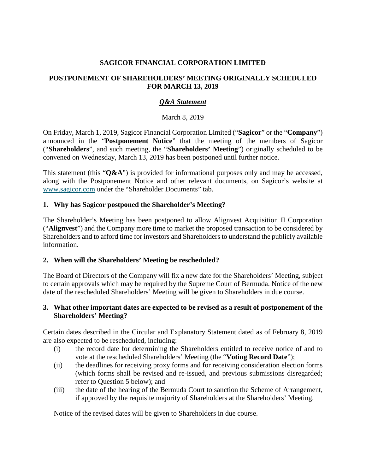## **SAGICOR FINANCIAL CORPORATION LIMITED**

### **POSTPONEMENT OF SHAREHOLDERS' MEETING ORIGINALLY SCHEDULED FOR MARCH 13, 2019**

## *Q&A Statement*

### March 8, 2019

On Friday, March 1, 2019, Sagicor Financial Corporation Limited ("**Sagicor**" or the "**Company**") announced in the "**Postponement Notice**" that the meeting of the members of Sagicor ("**Shareholders**", and such meeting, the "**Shareholders' Meeting**") originally scheduled to be convened on Wednesday, March 13, 2019 has been postponed until further notice.

This statement (this "**Q&A**") is provided for informational purposes only and may be accessed, along with the Postponement Notice and other relevant documents, on Sagicor's website at [www.sagicor.com](http://www.sagicor.com/) under the "Shareholder Documents" tab.

### **1. Why has Sagicor postponed the Shareholder's Meeting?**

The Shareholder's Meeting has been postponed to allow Alignvest Acquisition II Corporation ("**Alignvest**") and the Company more time to market the proposed transaction to be considered by Shareholders and to afford time for investors and Shareholders to understand the publicly available information.

### **2. When will the Shareholders' Meeting be rescheduled?**

The Board of Directors of the Company will fix a new date for the Shareholders' Meeting, subject to certain approvals which may be required by the Supreme Court of Bermuda. Notice of the new date of the rescheduled Shareholders' Meeting will be given to Shareholders in due course.

### **3. What other important dates are expected to be revised as a result of postponement of the Shareholders' Meeting?**

Certain dates described in the Circular and Explanatory Statement dated as of February 8, 2019 are also expected to be rescheduled, including:

- (i) the record date for determining the Shareholders entitled to receive notice of and to vote at the rescheduled Shareholders' Meeting (the "**Voting Record Date**");
- (ii) the deadlines for receiving proxy forms and for receiving consideration election forms (which forms shall be revised and re-issued, and previous submissions disregarded; refer to Question 5 below); and
- (iii) the date of the hearing of the Bermuda Court to sanction the Scheme of Arrangement, if approved by the requisite majority of Shareholders at the Shareholders' Meeting.

Notice of the revised dates will be given to Shareholders in due course.